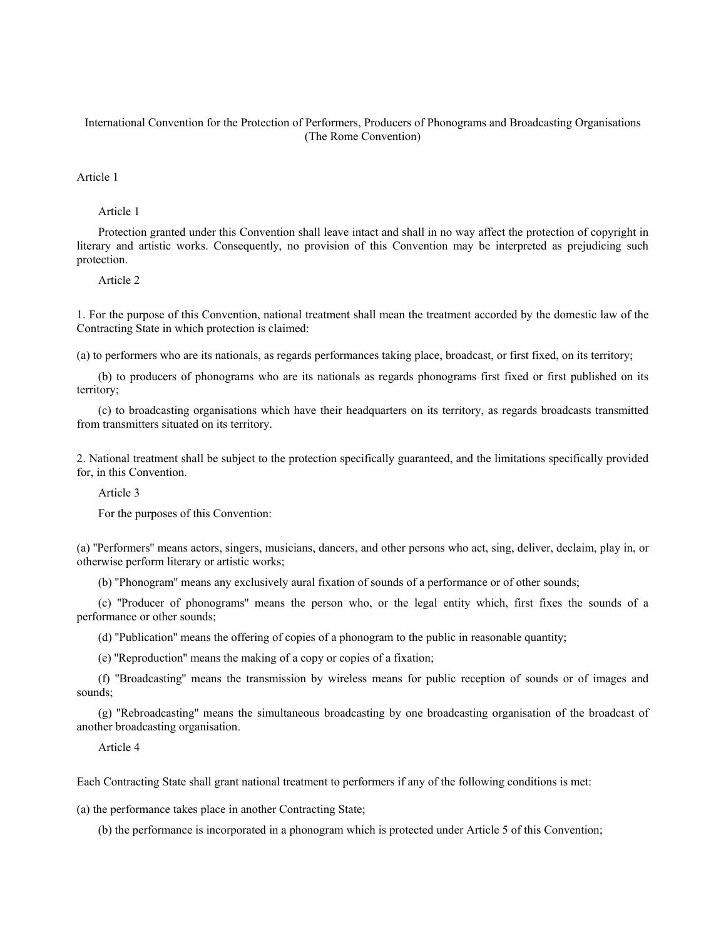# International Convention for the Protection of Performers, Producers of Phonograms and Broadcasting Organisations (The Rome Convention)

Article 1

Article 1

Protection granted under this Convention shall leave intact and shall in no way affect the protection of copyright in literary and artistic works. Consequently, no provision of this Convention may be interpreted as prejudicing such protection.

Article 2

1. For the purpose of this Convention, national treatment shall mean the treatment accorded by the domestic law of the Contracting State in which protection is claimed:

(a) to performers who are its nationals, as regards performances taking place, broadcast, or first fixed, on its territory;

(b) to producers of phonograms who are its nationals as regards phonograms first fixed or first published on its territory;

(c) to broadcasting organisations which have their headquarters on its territory, as regards broadcasts transmitted from transmitters situated on its territory.

2. National treatment shall be subject to the protection specifically guaranteed, and the limitations specifically provided for, in this Convention.

Article 3

For the purposes of this Convention:

(a) ''Performers'' means actors, singers, musicians, dancers, and other persons who act, sing, deliver, declaim, play in, or otherwise perform literary or artistic works;

(b) ''Phonogram'' means any exclusively aural fixation of sounds of a performance or of other sounds;

(c) ''Producer of phonograms'' means the person who, or the legal entity which, first fixes the sounds of a performance or other sounds;

(d) ''Publication'' means the offering of copies of a phonogram to the public in reasonable quantity;

(e) ''Reproduction'' means the making of a copy or copies of a fixation;

(f) ''Broadcasting'' means the transmission by wireless means for public reception of sounds or of images and sounds;

(g) ''Rebroadcasting'' means the simultaneous broadcasting by one broadcasting organisation of the broadcast of another broadcasting organisation.

Article 4

Each Contracting State shall grant national treatment to performers if any of the following conditions is met:

(a) the performance takes place in another Contracting State;

(b) the performance is incorporated in a phonogram which is protected under Article 5 of this Convention;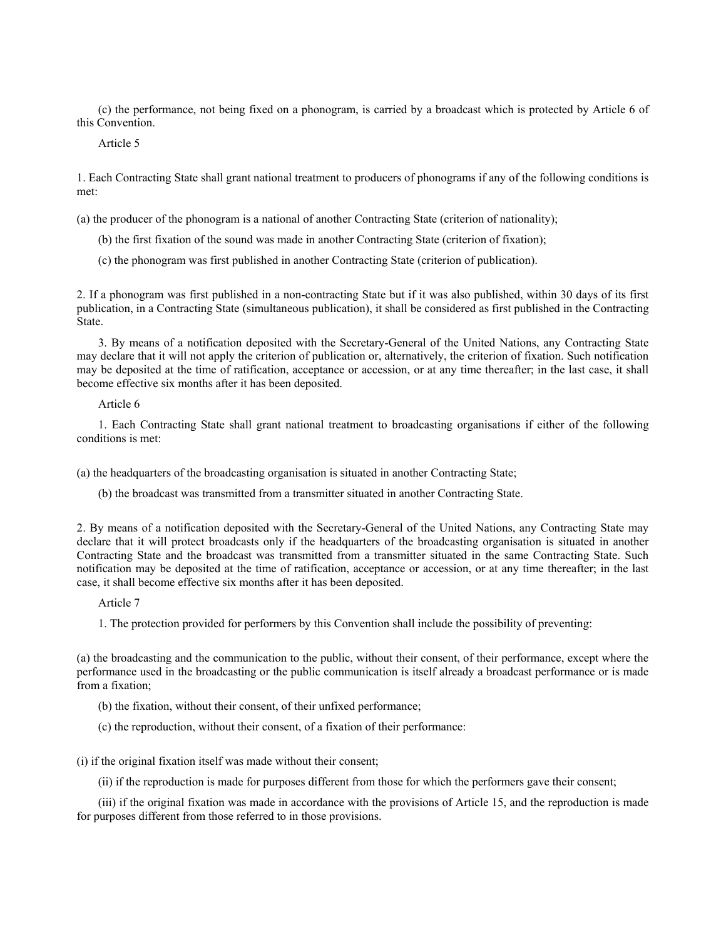(c) the performance, not being fixed on a phonogram, is carried by a broadcast which is protected by Article 6 of this Convention.

Article 5

1. Each Contracting State shall grant national treatment to producers of phonograms if any of the following conditions is met:

(a) the producer of the phonogram is a national of another Contracting State (criterion of nationality);

- (b) the first fixation of the sound was made in another Contracting State (criterion of fixation);
- (c) the phonogram was first published in another Contracting State (criterion of publication).

2. If a phonogram was first published in a non-contracting State but if it was also published, within 30 days of its first publication, in a Contracting State (simultaneous publication), it shall be considered as first published in the Contracting State.

3. By means of a notification deposited with the Secretary-General of the United Nations, any Contracting State may declare that it will not apply the criterion of publication or, alternatively, the criterion of fixation. Such notification may be deposited at the time of ratification, acceptance or accession, or at any time thereafter; in the last case, it shall become effective six months after it has been deposited.

### Article 6

1. Each Contracting State shall grant national treatment to broadcasting organisations if either of the following conditions is met:

(a) the headquarters of the broadcasting organisation is situated in another Contracting State;

(b) the broadcast was transmitted from a transmitter situated in another Contracting State.

2. By means of a notification deposited with the Secretary-General of the United Nations, any Contracting State may declare that it will protect broadcasts only if the headquarters of the broadcasting organisation is situated in another Contracting State and the broadcast was transmitted from a transmitter situated in the same Contracting State. Such notification may be deposited at the time of ratification, acceptance or accession, or at any time thereafter; in the last case, it shall become effective six months after it has been deposited.

Article 7

1. The protection provided for performers by this Convention shall include the possibility of preventing:

(a) the broadcasting and the communication to the public, without their consent, of their performance, except where the performance used in the broadcasting or the public communication is itself already a broadcast performance or is made from a fixation;

(b) the fixation, without their consent, of their unfixed performance;

(c) the reproduction, without their consent, of a fixation of their performance:

(i) if the original fixation itself was made without their consent;

(ii) if the reproduction is made for purposes different from those for which the performers gave their consent;

(iii) if the original fixation was made in accordance with the provisions of Article 15, and the reproduction is made for purposes different from those referred to in those provisions.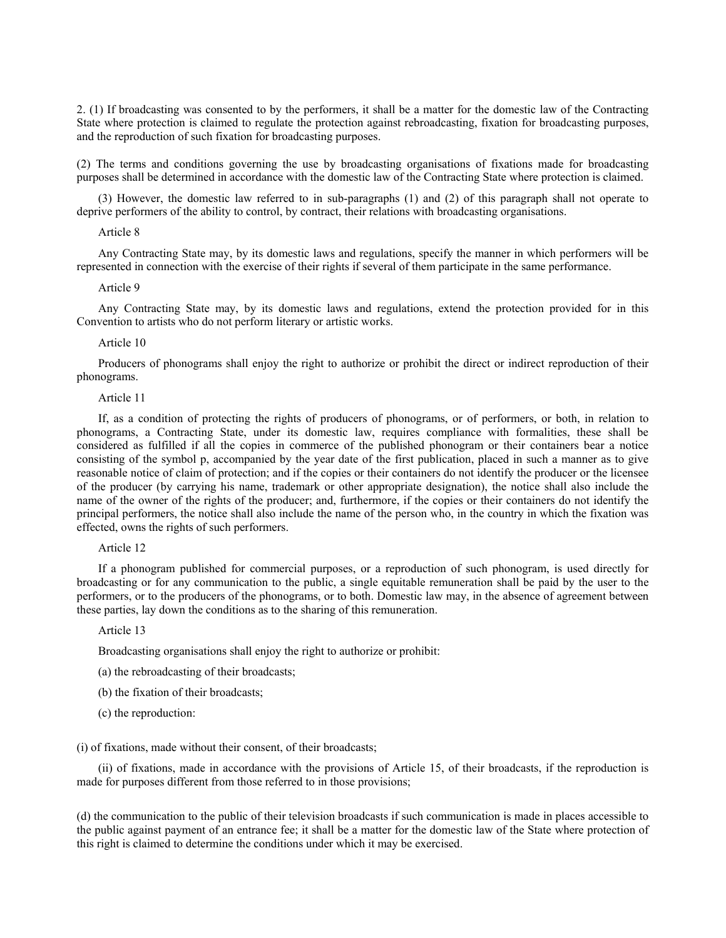2. (1) If broadcasting was consented to by the performers, it shall be a matter for the domestic law of the Contracting State where protection is claimed to regulate the protection against rebroadcasting, fixation for broadcasting purposes, and the reproduction of such fixation for broadcasting purposes.

(2) The terms and conditions governing the use by broadcasting organisations of fixations made for broadcasting purposes shall be determined in accordance with the domestic law of the Contracting State where protection is claimed.

(3) However, the domestic law referred to in sub-paragraphs (1) and (2) of this paragraph shall not operate to deprive performers of the ability to control, by contract, their relations with broadcasting organisations.

### Article 8

Any Contracting State may, by its domestic laws and regulations, specify the manner in which performers will be represented in connection with the exercise of their rights if several of them participate in the same performance.

### Article 9

Any Contracting State may, by its domestic laws and regulations, extend the protection provided for in this Convention to artists who do not perform literary or artistic works.

#### Article 10

Producers of phonograms shall enjoy the right to authorize or prohibit the direct or indirect reproduction of their phonograms.

## Article 11

If, as a condition of protecting the rights of producers of phonograms, or of performers, or both, in relation to phonograms, a Contracting State, under its domestic law, requires compliance with formalities, these shall be considered as fulfilled if all the copies in commerce of the published phonogram or their containers bear a notice consisting of the symbol p, accompanied by the year date of the first publication, placed in such a manner as to give reasonable notice of claim of protection; and if the copies or their containers do not identify the producer or the licensee of the producer (by carrying his name, trademark or other appropriate designation), the notice shall also include the name of the owner of the rights of the producer; and, furthermore, if the copies or their containers do not identify the principal performers, the notice shall also include the name of the person who, in the country in which the fixation was effected, owns the rights of such performers.

### Article 12

If a phonogram published for commercial purposes, or a reproduction of such phonogram, is used directly for broadcasting or for any communication to the public, a single equitable remuneration shall be paid by the user to the performers, or to the producers of the phonograms, or to both. Domestic law may, in the absence of agreement between these parties, lay down the conditions as to the sharing of this remuneration.

### Article 13

Broadcasting organisations shall enjoy the right to authorize or prohibit:

- (a) the rebroadcasting of their broadcasts;
- (b) the fixation of their broadcasts;
- (c) the reproduction:

### (i) of fixations, made without their consent, of their broadcasts;

(ii) of fixations, made in accordance with the provisions of Article 15, of their broadcasts, if the reproduction is made for purposes different from those referred to in those provisions;

(d) the communication to the public of their television broadcasts if such communication is made in places accessible to the public against payment of an entrance fee; it shall be a matter for the domestic law of the State where protection of this right is claimed to determine the conditions under which it may be exercised.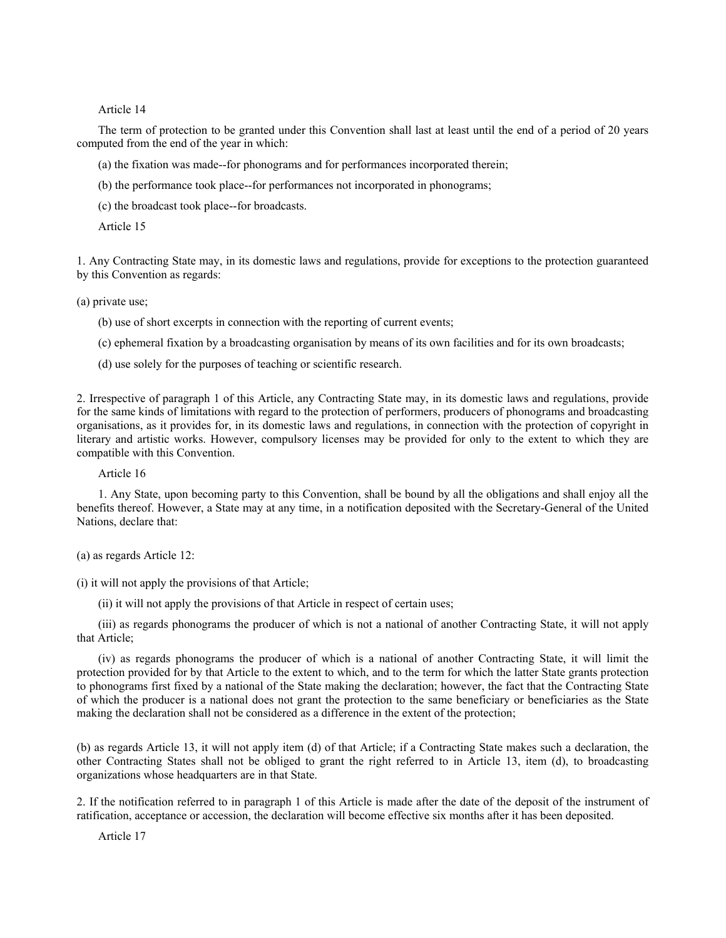Article 14

The term of protection to be granted under this Convention shall last at least until the end of a period of 20 years computed from the end of the year in which:

(a) the fixation was made--for phonograms and for performances incorporated therein;

(b) the performance took place--for performances not incorporated in phonograms;

(c) the broadcast took place--for broadcasts.

Article 15

1. Any Contracting State may, in its domestic laws and regulations, provide for exceptions to the protection guaranteed by this Convention as regards:

(a) private use;

(b) use of short excerpts in connection with the reporting of current events;

(c) ephemeral fixation by a broadcasting organisation by means of its own facilities and for its own broadcasts;

(d) use solely for the purposes of teaching or scientific research.

2. Irrespective of paragraph 1 of this Article, any Contracting State may, in its domestic laws and regulations, provide for the same kinds of limitations with regard to the protection of performers, producers of phonograms and broadcasting organisations, as it provides for, in its domestic laws and regulations, in connection with the protection of copyright in literary and artistic works. However, compulsory licenses may be provided for only to the extent to which they are compatible with this Convention.

Article 16

1. Any State, upon becoming party to this Convention, shall be bound by all the obligations and shall enjoy all the benefits thereof. However, a State may at any time, in a notification deposited with the Secretary-General of the United Nations, declare that:

(a) as regards Article 12:

(i) it will not apply the provisions of that Article;

(ii) it will not apply the provisions of that Article in respect of certain uses;

(iii) as regards phonograms the producer of which is not a national of another Contracting State, it will not apply that Article;

(iv) as regards phonograms the producer of which is a national of another Contracting State, it will limit the protection provided for by that Article to the extent to which, and to the term for which the latter State grants protection to phonograms first fixed by a national of the State making the declaration; however, the fact that the Contracting State of which the producer is a national does not grant the protection to the same beneficiary or beneficiaries as the State making the declaration shall not be considered as a difference in the extent of the protection;

(b) as regards Article 13, it will not apply item (d) of that Article; if a Contracting State makes such a declaration, the other Contracting States shall not be obliged to grant the right referred to in Article 13, item (d), to broadcasting organizations whose headquarters are in that State.

2. If the notification referred to in paragraph 1 of this Article is made after the date of the deposit of the instrument of ratification, acceptance or accession, the declaration will become effective six months after it has been deposited.

Article 17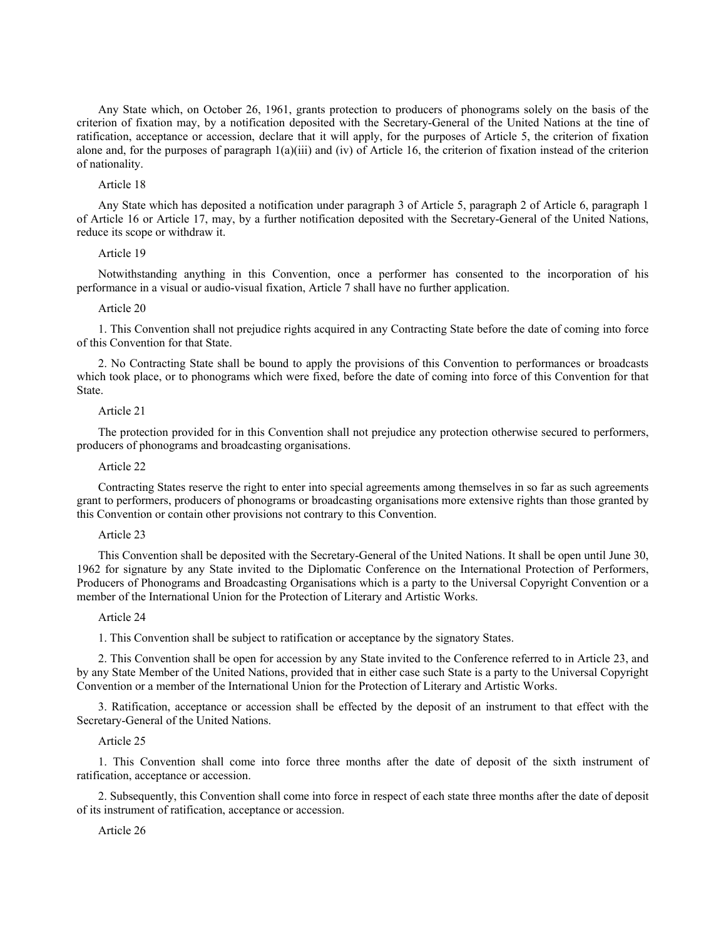Any State which, on October 26, 1961, grants protection to producers of phonograms solely on the basis of the criterion of fixation may, by a notification deposited with the Secretary-General of the United Nations at the tine of ratification, acceptance or accession, declare that it will apply, for the purposes of Article 5, the criterion of fixation alone and, for the purposes of paragraph  $1(a)(iii)$  and (iv) of Article 16, the criterion of fixation instead of the criterion of nationality.

### Article 18

Any State which has deposited a notification under paragraph 3 of Article 5, paragraph 2 of Article 6, paragraph 1 of Article 16 or Article 17, may, by a further notification deposited with the Secretary-General of the United Nations, reduce its scope or withdraw it.

### Article 19

Notwithstanding anything in this Convention, once a performer has consented to the incorporation of his performance in a visual or audio-visual fixation, Article 7 shall have no further application.

### Article 20

1. This Convention shall not prejudice rights acquired in any Contracting State before the date of coming into force of this Convention for that State.

2. No Contracting State shall be bound to apply the provisions of this Convention to performances or broadcasts which took place, or to phonograms which were fixed, before the date of coming into force of this Convention for that State.

## Article 21

The protection provided for in this Convention shall not prejudice any protection otherwise secured to performers, producers of phonograms and broadcasting organisations.

### Article 22

Contracting States reserve the right to enter into special agreements among themselves in so far as such agreements grant to performers, producers of phonograms or broadcasting organisations more extensive rights than those granted by this Convention or contain other provisions not contrary to this Convention.

#### Article 23

This Convention shall be deposited with the Secretary-General of the United Nations. It shall be open until June 30, 1962 for signature by any State invited to the Diplomatic Conference on the International Protection of Performers, Producers of Phonograms and Broadcasting Organisations which is a party to the Universal Copyright Convention or a member of the International Union for the Protection of Literary and Artistic Works.

#### Article 24

1. This Convention shall be subject to ratification or acceptance by the signatory States.

2. This Convention shall be open for accession by any State invited to the Conference referred to in Article 23, and by any State Member of the United Nations, provided that in either case such State is a party to the Universal Copyright Convention or a member of the International Union for the Protection of Literary and Artistic Works.

3. Ratification, acceptance or accession shall be effected by the deposit of an instrument to that effect with the Secretary-General of the United Nations.

# Article 25

1. This Convention shall come into force three months after the date of deposit of the sixth instrument of ratification, acceptance or accession.

2. Subsequently, this Convention shall come into force in respect of each state three months after the date of deposit of its instrument of ratification, acceptance or accession.

Article 26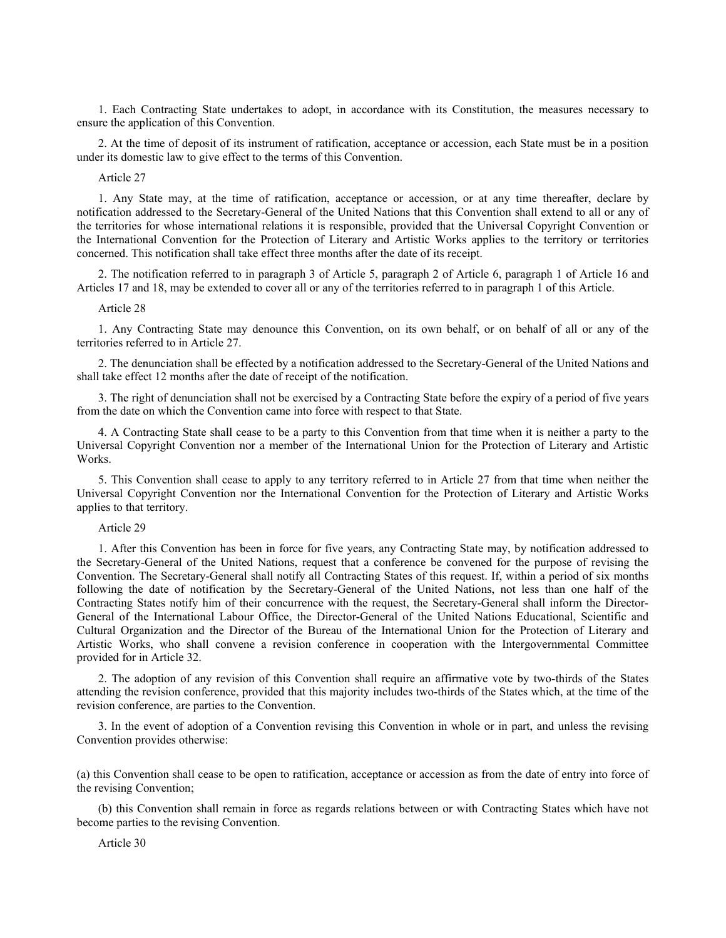1. Each Contracting State undertakes to adopt, in accordance with its Constitution, the measures necessary to ensure the application of this Convention.

2. At the time of deposit of its instrument of ratification, acceptance or accession, each State must be in a position under its domestic law to give effect to the terms of this Convention.

### Article 27

1. Any State may, at the time of ratification, acceptance or accession, or at any time thereafter, declare by notification addressed to the Secretary-General of the United Nations that this Convention shall extend to all or any of the territories for whose international relations it is responsible, provided that the Universal Copyright Convention or the International Convention for the Protection of Literary and Artistic Works applies to the territory or territories concerned. This notification shall take effect three months after the date of its receipt.

2. The notification referred to in paragraph 3 of Article 5, paragraph 2 of Article 6, paragraph 1 of Article 16 and Articles 17 and 18, may be extended to cover all or any of the territories referred to in paragraph 1 of this Article.

## Article 28

1. Any Contracting State may denounce this Convention, on its own behalf, or on behalf of all or any of the territories referred to in Article 27.

2. The denunciation shall be effected by a notification addressed to the Secretary-General of the United Nations and shall take effect 12 months after the date of receipt of the notification.

3. The right of denunciation shall not be exercised by a Contracting State before the expiry of a period of five years from the date on which the Convention came into force with respect to that State.

4. A Contracting State shall cease to be a party to this Convention from that time when it is neither a party to the Universal Copyright Convention nor a member of the International Union for the Protection of Literary and Artistic Works.

5. This Convention shall cease to apply to any territory referred to in Article 27 from that time when neither the Universal Copyright Convention nor the International Convention for the Protection of Literary and Artistic Works applies to that territory.

### Article 29

1. After this Convention has been in force for five years, any Contracting State may, by notification addressed to the Secretary-General of the United Nations, request that a conference be convened for the purpose of revising the Convention. The Secretary-General shall notify all Contracting States of this request. If, within a period of six months following the date of notification by the Secretary-General of the United Nations, not less than one half of the Contracting States notify him of their concurrence with the request, the Secretary-General shall inform the Director-General of the International Labour Office, the Director-General of the United Nations Educational, Scientific and Cultural Organization and the Director of the Bureau of the International Union for the Protection of Literary and Artistic Works, who shall convene a revision conference in cooperation with the Intergovernmental Committee provided for in Article 32.

2. The adoption of any revision of this Convention shall require an affirmative vote by two-thirds of the States attending the revision conference, provided that this majority includes two-thirds of the States which, at the time of the revision conference, are parties to the Convention.

3. In the event of adoption of a Convention revising this Convention in whole or in part, and unless the revising Convention provides otherwise:

(a) this Convention shall cease to be open to ratification, acceptance or accession as from the date of entry into force of the revising Convention;

(b) this Convention shall remain in force as regards relations between or with Contracting States which have not become parties to the revising Convention.

Article 30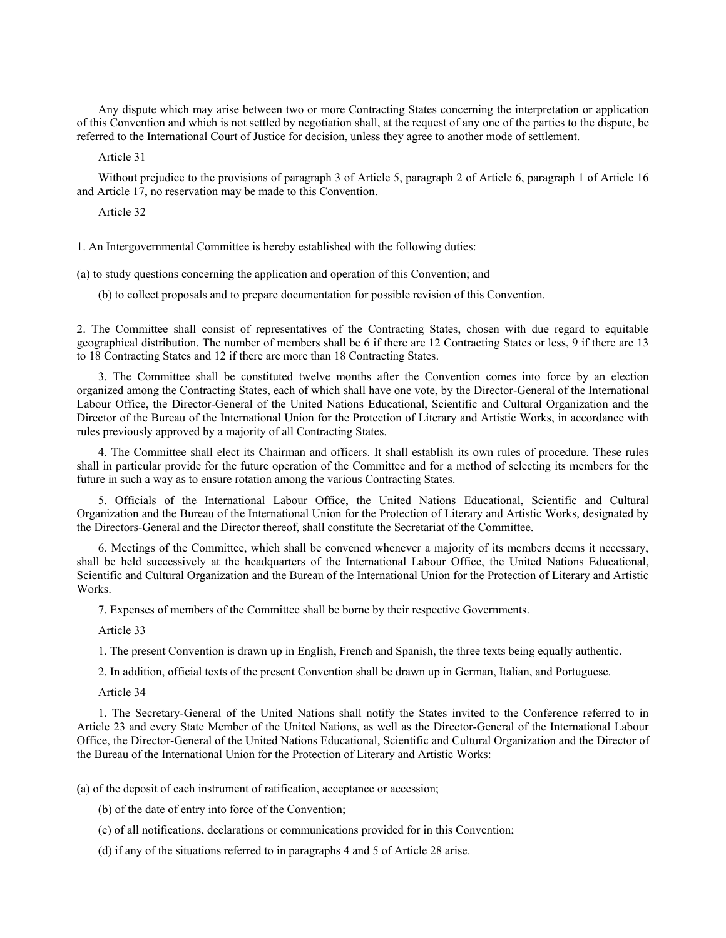Any dispute which may arise between two or more Contracting States concerning the interpretation or application of this Convention and which is not settled by negotiation shall, at the request of any one of the parties to the dispute, be referred to the International Court of Justice for decision, unless they agree to another mode of settlement.

Article 31

Without prejudice to the provisions of paragraph 3 of Article 5, paragraph 2 of Article 6, paragraph 1 of Article 16 and Article 17, no reservation may be made to this Convention.

Article 32

1. An Intergovernmental Committee is hereby established with the following duties:

(a) to study questions concerning the application and operation of this Convention; and

(b) to collect proposals and to prepare documentation for possible revision of this Convention.

2. The Committee shall consist of representatives of the Contracting States, chosen with due regard to equitable geographical distribution. The number of members shall be 6 if there are 12 Contracting States or less, 9 if there are 13 to 18 Contracting States and 12 if there are more than 18 Contracting States.

3. The Committee shall be constituted twelve months after the Convention comes into force by an election organized among the Contracting States, each of which shall have one vote, by the Director-General of the International Labour Office, the Director-General of the United Nations Educational, Scientific and Cultural Organization and the Director of the Bureau of the International Union for the Protection of Literary and Artistic Works, in accordance with rules previously approved by a majority of all Contracting States.

4. The Committee shall elect its Chairman and officers. It shall establish its own rules of procedure. These rules shall in particular provide for the future operation of the Committee and for a method of selecting its members for the future in such a way as to ensure rotation among the various Contracting States.

5. Officials of the International Labour Office, the United Nations Educational, Scientific and Cultural Organization and the Bureau of the International Union for the Protection of Literary and Artistic Works, designated by the Directors-General and the Director thereof, shall constitute the Secretariat of the Committee.

6. Meetings of the Committee, which shall be convened whenever a majority of its members deems it necessary, shall be held successively at the headquarters of the International Labour Office, the United Nations Educational, Scientific and Cultural Organization and the Bureau of the International Union for the Protection of Literary and Artistic Works.

7. Expenses of members of the Committee shall be borne by their respective Governments.

Article 33

1. The present Convention is drawn up in English, French and Spanish, the three texts being equally authentic.

2. In addition, official texts of the present Convention shall be drawn up in German, Italian, and Portuguese.

Article 34

1. The Secretary-General of the United Nations shall notify the States invited to the Conference referred to in Article 23 and every State Member of the United Nations, as well as the Director-General of the International Labour Office, the Director-General of the United Nations Educational, Scientific and Cultural Organization and the Director of the Bureau of the International Union for the Protection of Literary and Artistic Works:

(a) of the deposit of each instrument of ratification, acceptance or accession;

(b) of the date of entry into force of the Convention;

(c) of all notifications, declarations or communications provided for in this Convention;

(d) if any of the situations referred to in paragraphs 4 and 5 of Article 28 arise.